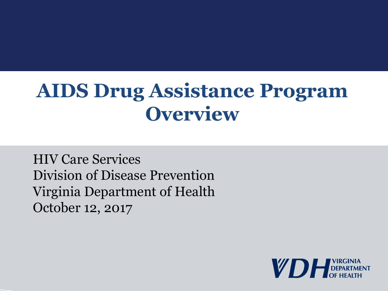#### **AIDS Drug Assistance Program Overview**

HIV Care Services Division of Disease Prevention Virginia Department of Health October 12, 2017

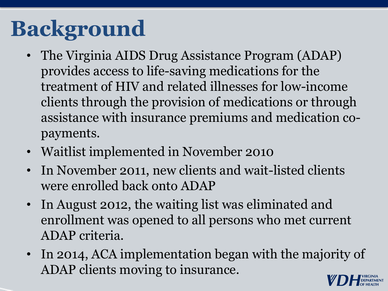# **Background**

- The Virginia AIDS Drug Assistance Program (ADAP) provides access to life-saving medications for the treatment of HIV and related illnesses for low-income clients through the provision of medications or through assistance with insurance premiums and medication copayments.
- Waitlist implemented in November 2010
- In November 2011, new clients and wait-listed clients were enrolled back onto ADAP
- In August 2012, the waiting list was eliminated and enrollment was opened to all persons who met current ADAP criteria.
- In 2014, ACA implementation began with the majority of ADAP clients moving to insurance.

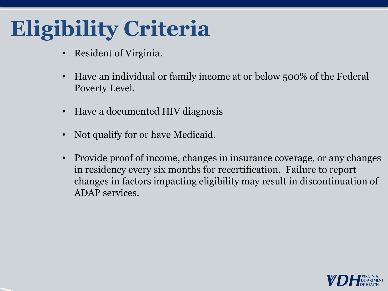## **Eligibility Criteria**

- Resident of Virginia.
- Have an individual or family income at or below 500% of the Federal Poverty Level.
- Have a documented HIV diagnosis
- Not qualify for or have Medicaid.
- Provide proof of income, changes in insurance coverage, or any changes in residency every six months for recertification. Failure to report changes in factors impacting eligibility may result in discontinuation of ADAP services.

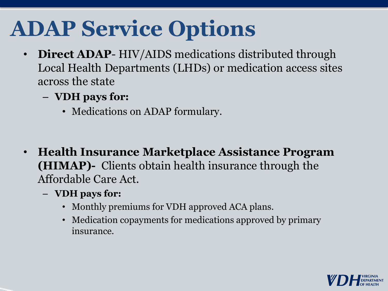# **ADAP Service Options**

- **Direct ADAP** HIV/AIDS medications distributed through Local Health Departments (LHDs) or medication access sites across the state
	- **VDH pays for:**
		- Medications on ADAP formulary.
- **Health Insurance Marketplace Assistance Program (HIMAP)-** Clients obtain health insurance through the Affordable Care Act.
	- **VDH pays for:**
		- Monthly premiums for VDH approved ACA plans.
		- Medication copayments for medications approved by primary insurance.

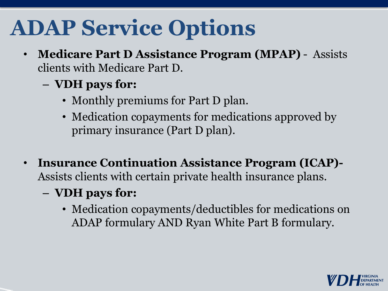## **ADAP Service Options**

- **Medicare Part D Assistance Program (MPAP)** Assists clients with Medicare Part D.
	- **VDH pays for:** 
		- Monthly premiums for Part D plan.
		- Medication copayments for medications approved by primary insurance (Part D plan).
- **Insurance Continuation Assistance Program (ICAP)-** Assists clients with certain private health insurance plans.
	- **VDH pays for:**
		- Medication copayments/deductibles for medications on ADAP formulary AND Ryan White Part B formulary.

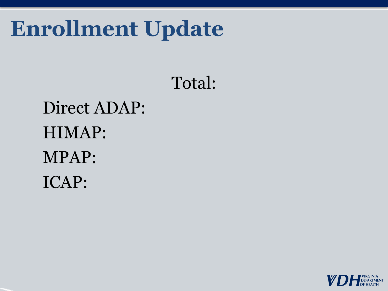#### **Enrollment Update**

#### Total:

#### Direct ADAP: HIMAP: MPAP: ICAP:

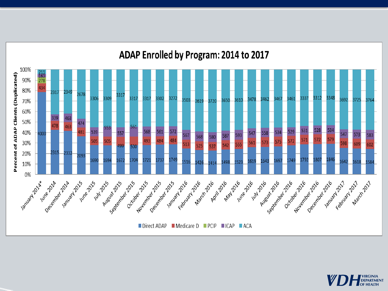



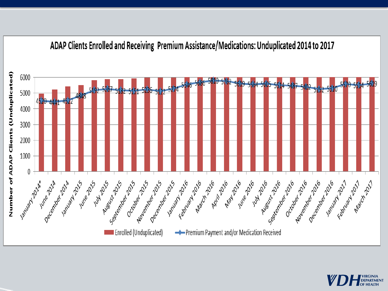

#### ADAP Clients Enrolled and Receiving Premium Assistance/Medications: Unduplicated 2014 to 2017

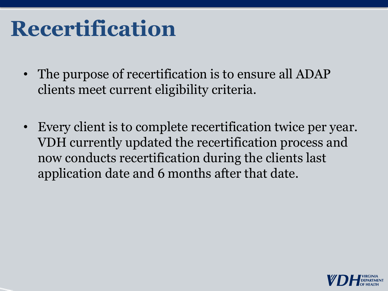#### **Recertification**

- The purpose of recertification is to ensure all ADAP clients meet current eligibility criteria.
- Every client is to complete recertification twice per year. VDH currently updated the recertification process and now conducts recertification during the clients last application date and 6 months after that date.

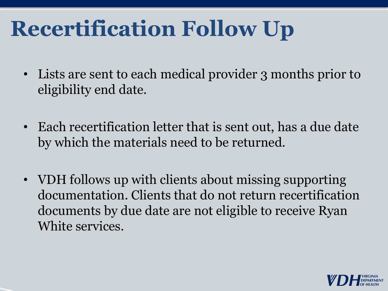## **Recertification Follow Up**

- Lists are sent to each medical provider 3 months prior to eligibility end date.
- Each recertification letter that is sent out, has a due date by which the materials need to be returned.
- VDH follows up with clients about missing supporting documentation. Clients that do not return recertification documents by due date are not eligible to receive Ryan White services.

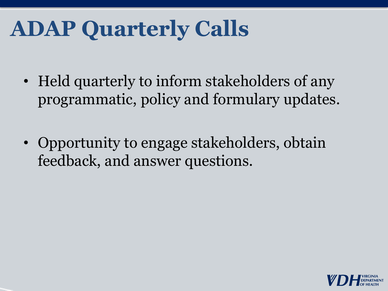## **ADAP Quarterly Calls**

- Held quarterly to inform stakeholders of any programmatic, policy and formulary updates.
- Opportunity to engage stakeholders, obtain feedback, and answer questions.

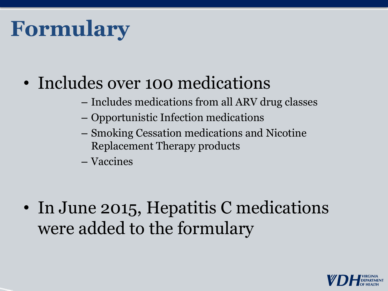## **Formulary**

- Includes over 100 medications
	- Includes medications from all ARV drug classes
	- Opportunistic Infection medications
	- Smoking Cessation medications and Nicotine Replacement Therapy products
	- Vaccines

• In June 2015, Hepatitis C medications were added to the formulary

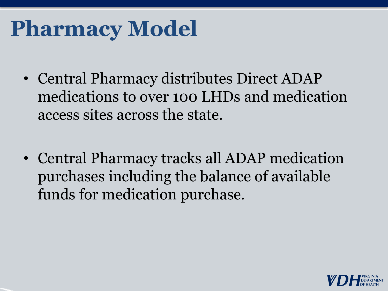## **Pharmacy Model**

- Central Pharmacy distributes Direct ADAP medications to over 100 LHDs and medication access sites across the state.
- Central Pharmacy tracks all ADAP medication purchases including the balance of available funds for medication purchase.

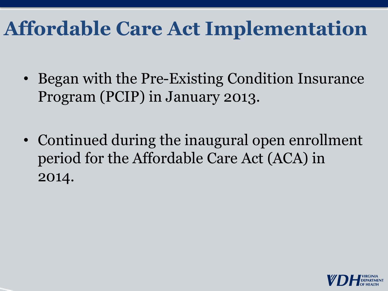#### **Affordable Care Act Implementation**

- Began with the Pre-Existing Condition Insurance Program (PCIP) in January 2013.
- Continued during the inaugural open enrollment period for the Affordable Care Act (ACA) in 2014.

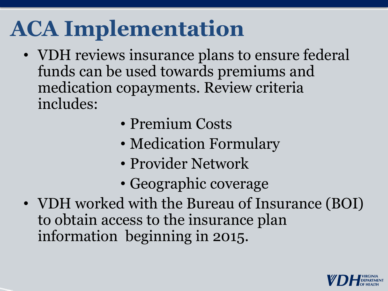## **ACA Implementation**

- VDH reviews insurance plans to ensure federal funds can be used towards premiums and medication copayments. Review criteria includes:
	- Premium Costs
	- Medication Formulary
	- Provider Network
	- Geographic coverage
- VDH worked with the Bureau of Insurance (BOI) to obtain access to the insurance plan information beginning in 2015.

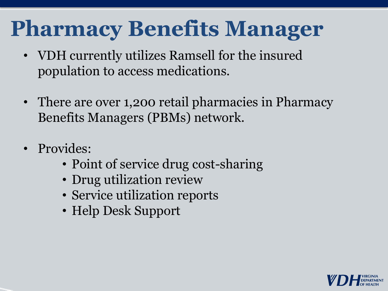## **Pharmacy Benefits Manager**

- VDH currently utilizes Ramsell for the insured population to access medications.
- There are over 1,200 retail pharmacies in Pharmacy Benefits Managers (PBMs) network.
- Provides:
	- Point of service drug cost-sharing
	- Drug utilization review
	- Service utilization reports
	- Help Desk Support

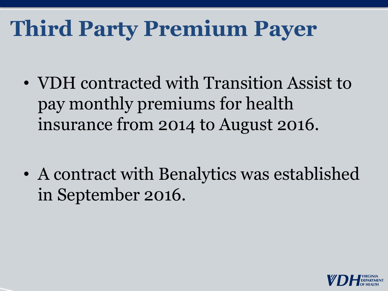## **Third Party Premium Payer**

• VDH contracted with Transition Assist to pay monthly premiums for health insurance from 2014 to August 2016.

• A contract with Benalytics was established in September 2016.

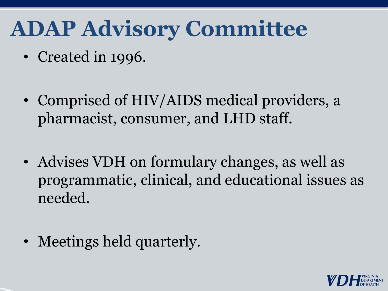#### **ADAP Advisory Committee**

- Created in 1996.
- Comprised of HIV/AIDS medical providers, a pharmacist, consumer, and LHD staff.
- Advises VDH on formulary changes, as well as programmatic, clinical, and educational issues as needed.
- Meetings held quarterly.